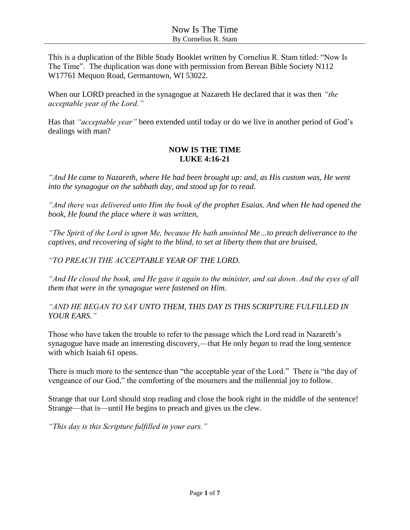This is a duplication of the Bible Study Booklet written by Cornelius R. Stam titled: "Now Is The Time". The duplication was done with permission from Berean Bible Society N112 W17761 Mequon Road, Germantown, WI 53022.

When our LORD preached in the synagogue at Nazareth He declared that it was then *"the acceptable year of the Lord."*

Has that *"acceptable year"* been extended until today or do we live in another period of God's dealings with man?

#### **NOW IS THE TIME LUKE 4:16-21**

*"And He came to Nazareth, where He had been brought up: and, as His custom was, He went into the synagogue on the sabbath day, and stood up for to read.*

*"And there was delivered unto Him the book of the prophet Esaias. And when He had opened the book, He found the place where it was written,*

*"The Spirit of the Lord is upon Me, because He hath anointed Me…to preach deliverance to the captives, and recovering of sight to the blind, to set at liberty them that are bruised,*

*"TO PREACH THE ACCEPTABLE YEAR OF THE LORD.*

*"And He closed the book, and He gave it again to the minister, and sat down. And the eyes of all them that were in the synagogue were fastened on Him.*

*"AND HE BEGAN TO SAY UNTO THEM, THIS DAY IS THIS SCRIPTURE FULFILLED IN YOUR EARS."*

Those who have taken the trouble to refer to the passage which the Lord read in Nazareth's synagogue have made an interesting discovery,—that He only *began* to read the long sentence with which Isaiah 61 opens.

There is much more to the sentence than "the acceptable year of the Lord." There is "the day of vengeance of our God," the comforting of the mourners and the millennial joy to follow.

Strange that our Lord should stop reading and close the book right in the middle of the sentence! Strange—that is—until He begins to preach and gives us the clew.

*"This day is this Scripture fulfilled in your ears."*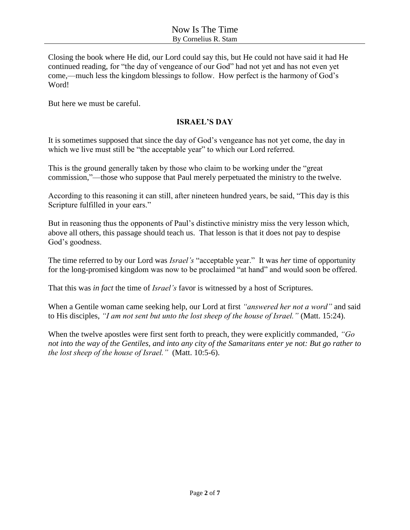Closing the book where He did, our Lord could say this, but He could not have said it had He continued reading, for "the day of vengeance of our God" had not yet and has not even yet come,—much less the kingdom blessings to follow. How perfect is the harmony of God's Word!

But here we must be careful.

#### **ISRAEL'S DAY**

It is sometimes supposed that since the day of God's vengeance has not yet come, the day in which we live must still be "the acceptable year" to which our Lord referred.

This is the ground generally taken by those who claim to be working under the "great commission,"—those who suppose that Paul merely perpetuated the ministry to the twelve.

According to this reasoning it can still, after nineteen hundred years, be said, "This day is this Scripture fulfilled in your ears."

But in reasoning thus the opponents of Paul's distinctive ministry miss the very lesson which, above all others, this passage should teach us. That lesson is that it does not pay to despise God's goodness.

The time referred to by our Lord was *Israel's* "acceptable year." It was *her* time of opportunity for the long-promised kingdom was now to be proclaimed "at hand" and would soon be offered.

That this was *in fact* the time of *Israel's* favor is witnessed by a host of Scriptures.

When a Gentile woman came seeking help, our Lord at first *"answered her not a word"* and said to His disciples, *"I am not sent but unto the lost sheep of the house of Israel."* (Matt. 15:24).

When the twelve apostles were first sent forth to preach, they were explicitly commanded, *"Go not into the way of the Gentiles, and into any city of the Samaritans enter ye not: But go rather to the lost sheep of the house of Israel."* (Matt. 10:5-6).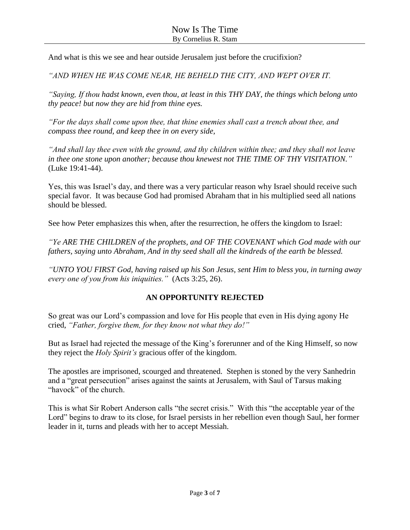And what is this we see and hear outside Jerusalem just before the crucifixion?

*"AND WHEN HE WAS COME NEAR, HE BEHELD THE CITY, AND WEPT OVER IT.*

*"Saying, If thou hadst known, even thou, at least in this THY DAY, the things which belong unto thy peace! but now they are hid from thine eyes.*

*"For the days shall come upon thee, that thine enemies shall cast a trench about thee, and compass thee round, and keep thee in on every side,*

*"And shall lay thee even with the ground, and thy children within thee; and they shall not leave in thee one stone upon another; because thou knewest not THE TIME OF THY VISITATION."*  (Luke 19:41-44).

Yes, this was Israel's day, and there was a very particular reason why Israel should receive such special favor. It was because God had promised Abraham that in his multiplied seed all nations should be blessed.

See how Peter emphasizes this when, after the resurrection, he offers the kingdom to Israel:

*"Ye ARE THE CHILDREN of the prophets, and OF THE COVENANT which God made with our fathers, saying unto Abraham, And in thy seed shall all the kindreds of the earth be blessed.*

*"UNTO YOU FIRST God, having raised up his Son Jesus, sent Him to bless you, in turning away every one of you from his iniquities."* (Acts 3:25, 26).

## **AN OPPORTUNITY REJECTED**

So great was our Lord's compassion and love for His people that even in His dying agony He cried, *"Father, forgive them, for they know not what they do!"*

But as Israel had rejected the message of the King's forerunner and of the King Himself, so now they reject the *Holy Spirit's* gracious offer of the kingdom.

The apostles are imprisoned, scourged and threatened. Stephen is stoned by the very Sanhedrin and a "great persecution" arises against the saints at Jerusalem, with Saul of Tarsus making "havock" of the church.

This is what Sir Robert Anderson calls "the secret crisis." With this "the acceptable year of the Lord" begins to draw to its close, for Israel persists in her rebellion even though Saul, her former leader in it, turns and pleads with her to accept Messiah.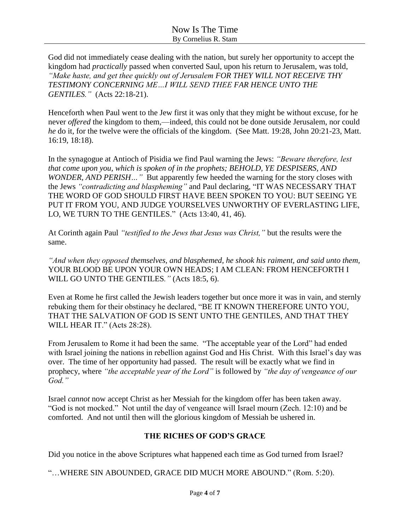God did not immediately cease dealing with the nation, but surely her opportunity to accept the kingdom had *practically* passed when converted Saul, upon his return to Jerusalem, was told, *"Make haste, and get thee quickly out of Jerusalem FOR THEY WILL NOT RECEIVE THY TESTIMONY CONCERNING ME…I WILL SEND THEE FAR HENCE UNTO THE GENTILES."* (Acts 22:18-21).

Henceforth when Paul went to the Jew first it was only that they might be without excuse, for he never *offered* the kingdom to them,—indeed, this could not be done outside Jerusalem, nor could *he* do it, for the twelve were the officials of the kingdom. (See Matt. 19:28, John 20:21-23, Matt. 16:19, 18:18).

In the synagogue at Antioch of Pisidia we find Paul warning the Jews: *"Beware therefore, lest that come upon you, which is spoken of in the prophets; BEHOLD, YE DESPISERS, AND WONDER, AND PERISH…"* But apparently few heeded the warning for the story closes with the Jews *"contradicting and blaspheming"* and Paul declaring, "IT WAS NECESSARY THAT THE WORD OF GOD SHOULD FIRST HAVE BEEN SPOKEN TO YOU: BUT SEEING YE PUT IT FROM YOU, AND JUDGE YOURSELVES UNWORTHY OF EVERLASTING LIFE, LO, WE TURN TO THE GENTILES." (Acts 13:40, 41, 46).

At Corinth again Paul *"testified to the Jews that Jesus was Christ,"* but the results were the same.

*"And when they opposed themselves, and blasphemed, he shook his raiment, and said unto them,*  YOUR BLOOD BE UPON YOUR OWN HEADS; I AM CLEAN: FROM HENCEFORTH I WILL GO UNTO THE GENTILES*."* (Acts 18:5, 6).

Even at Rome he first called the Jewish leaders together but once more it was in vain, and sternly rebuking them for their obstinacy he declared, "BE IT KNOWN THEREFORE UNTO YOU, THAT THE SALVATION OF GOD IS SENT UNTO THE GENTILES, AND THAT THEY WILL HEAR IT." (Acts 28:28).

From Jerusalem to Rome it had been the same. "The acceptable year of the Lord" had ended with Israel joining the nations in rebellion against God and His Christ. With this Israel's day was over. The time of her opportunity had passed. The result will be exactly what we find in prophecy, where *"the acceptable year of the Lord"* is followed by *"the day of vengeance of our God."*

Israel *cannot* now accept Christ as her Messiah for the kingdom offer has been taken away. "God is not mocked." Not until the day of vengeance will Israel mourn (Zech. 12:10) and be comforted. And not until then will the glorious kingdom of Messiah be ushered in.

## **THE RICHES OF GOD'S GRACE**

Did you notice in the above Scriptures what happened each time as God turned from Israel?

"…WHERE SIN ABOUNDED, GRACE DID MUCH MORE ABOUND." (Rom. 5:20).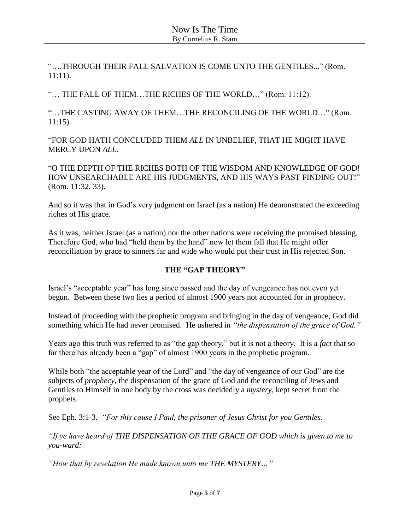"….THROUGH THEIR FALL SALVATION IS COME UNTO THE GENTILES..." (Rom. 11:11).

"… THE FALL OF THEM…THE RICHES OF THE WORLD…" (Rom. 11:12).

"…THE CASTING AWAY OF THEM…THE RECONCILING OF THE WORLD…" (Rom. 11:15).

"FOR GOD HATH CONCLUDED THEM *ALL* IN UNBELIEF, THAT HE MIGHT HAVE MERCY UPON *ALL*.

"O THE DEPTH OF THE RICHES BOTH OF THE WISDOM AND KNOWLEDGE OF GOD! HOW UNSEARCHABLE ARE HIS JUDGMENTS, AND HIS WAYS PAST FINDING OUT!" (Rom. 11:32, 33).

And so it was that in God's very judgment on Israel (as a nation) He demonstrated the exceeding riches of His grace.

As it was, neither Israel (as a nation) nor the other nations were receiving the promised blessing. Therefore God, who had "held them by the hand" now let them fall that He might offer reconciliation by grace to sinners far and wide who would put their trust in His rejected Son.

## **THE "GAP THEORY"**

Israel's "acceptable year" has long since passed and the day of vengeance has not even yet begun. Between these two lies a period of almost 1900 years not accounted for in prophecy.

Instead of proceeding with the prophetic program and bringing in the day of vengeance, God did something which He had never promised. He ushered in *"the dispensation of the grace of God."*

Years ago this truth was referred to as "the gap theory," but it is not a theory. It is a *fact* that so far there has already been a "gap" of almost 1900 years in the prophetic program.

While both "the acceptable year of the Lord" and "the day of vengeance of our God" are the subjects of *prophecy*, the dispensation of the grace of God and the reconciling of Jews and Gentiles to Himself in one body by the cross was decidedly a *mystery*, kept secret from the prophets.

See Eph. 3:1-3. *"For this cause I Paul, the prisoner of Jesus Christ for you Gentiles.*

*"If ye have heard of THE DISPENSATION OF THE GRACE OF GOD which is given to me to you-ward:*

*"How that by revelation He made known unto me THE MYSTERY…"*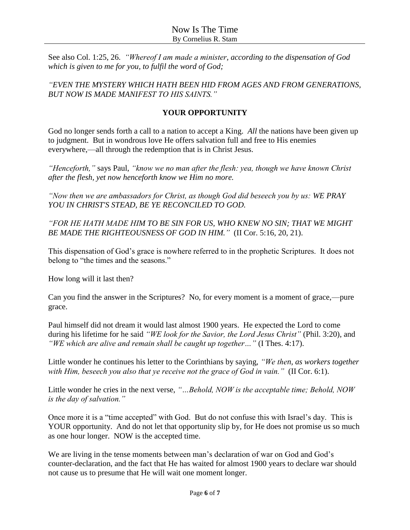See also Col. 1:25, 26. *"Whereof I am made a minister, according to the dispensation of God which is given to me for you, to fulfil the word of God;*

*"EVEN THE MYSTERY WHICH HATH BEEN HID FROM AGES AND FROM GENERATIONS, BUT NOW IS MADE MANIFEST TO HIS SAINTS."*

# **YOUR OPPORTUNITY**

God no longer sends forth a call to a nation to accept a King. *All* the nations have been given up to judgment. But in wondrous love He offers salvation full and free to His enemies everywhere,—all through the redemption that is in Christ Jesus.

*"Henceforth,"* says Paul, *"know we no man after the flesh: yea, though we have known Christ after the flesh, yet now henceforth know we Him no more.*

*"Now then we are ambassadors for Christ, as though God did beseech you by us: WE PRAY YOU IN CHRIST'S STEAD, BE YE RECONCILED TO GOD.*

*"FOR HE HATH MADE HIM TO BE SIN FOR US, WHO KNEW NO SIN; THAT WE MIGHT BE MADE THE RIGHTEOUSNESS OF GOD IN HIM."* (II Cor. 5:16, 20, 21).

This dispensation of God's grace is nowhere referred to in the prophetic Scriptures. It does not belong to "the times and the seasons."

How long will it last then?

Can you find the answer in the Scriptures? No, for every moment is a moment of grace,—pure grace.

Paul himself did not dream it would last almost 1900 years. He expected the Lord to come during his lifetime for he said *"WE look for the Savior, the Lord Jesus Christ"* (Phil. 3:20), and *"WE which are alive and remain shall be caught up together…"* (I Thes. 4:17).

Little wonder he continues his letter to the Corinthians by saying, *"We then, as workers together with Him, beseech you also that ye receive not the grace of God in vain."* (II Cor. 6:1).

Little wonder he cries in the next verse, *"…Behold, NOW is the acceptable time; Behold, NOW is the day of salvation."*

Once more it is a "time accepted" with God. But do not confuse this with Israel's day. This is YOUR opportunity. And do not let that opportunity slip by, for He does not promise us so much as one hour longer. NOW is the accepted time.

We are living in the tense moments between man's declaration of war on God and God's counter-declaration, and the fact that He has waited for almost 1900 years to declare war should not cause us to presume that He will wait one moment longer.